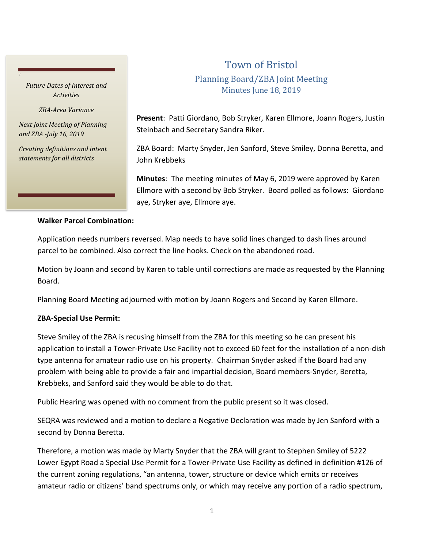### *Future Dates of Interest and Activities*

*J*

*ZBA-Area Variance*

*Next Joint Meeting of Planning and ZBA -July 16, 2019*

*Creating definitions and intent statements for all districts*

# Town of Bristol Planning Board/ZBA Joint Meeting Minutes June 18, 2019

**Present**: Patti Giordano, Bob Stryker, Karen Ellmore, Joann Rogers, Justin Steinbach and Secretary Sandra Riker.

ZBA Board: Marty Snyder, Jen Sanford, Steve Smiley, Donna Beretta, and John Krebbeks

**Minutes**: The meeting minutes of May 6, 2019 were approved by Karen Ellmore with a second by Bob Stryker. Board polled as follows: Giordano aye, Stryker aye, Ellmore aye.

#### **Walker Parcel Combination:**

Application needs numbers reversed. Map needs to have solid lines changed to dash lines around parcel to be combined. Also correct the line hooks. Check on the abandoned road.

Motion by Joann and second by Karen to table until corrections are made as requested by the Planning Board.

Planning Board Meeting adjourned with motion by Joann Rogers and Second by Karen Ellmore.

## **ZBA-Special Use Permit:**

Steve Smiley of the ZBA is recusing himself from the ZBA for this meeting so he can present his application to install a Tower-Private Use Facility not to exceed 60 feet for the installation of a non-dish type antenna for amateur radio use on his property. Chairman Snyder asked if the Board had any problem with being able to provide a fair and impartial decision, Board members-Snyder, Beretta, Krebbeks, and Sanford said they would be able to do that.

Public Hearing was opened with no comment from the public present so it was closed.

SEQRA was reviewed and a motion to declare a Negative Declaration was made by Jen Sanford with a second by Donna Beretta.

Therefore, a motion was made by Marty Snyder that the ZBA will grant to Stephen Smiley of 5222 Lower Egypt Road a Special Use Permit for a Tower-Private Use Facility as defined in definition #126 of the current zoning regulations, "an antenna, tower, structure or device which emits or receives amateur radio or citizens' band spectrums only, or which may receive any portion of a radio spectrum,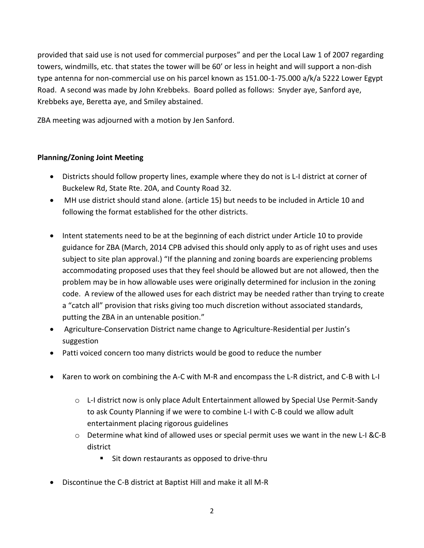provided that said use is not used for commercial purposes" and per the Local Law 1 of 2007 regarding towers, windmills, etc. that states the tower will be 60' or less in height and will support a non-dish type antenna for non-commercial use on his parcel known as 151.00-1-75.000 a/k/a 5222 Lower Egypt Road. A second was made by John Krebbeks. Board polled as follows: Snyder aye, Sanford aye, Krebbeks aye, Beretta aye, and Smiley abstained.

ZBA meeting was adjourned with a motion by Jen Sanford.

## **Planning/Zoning Joint Meeting**

- Districts should follow property lines, example where they do not is L-I district at corner of Buckelew Rd, State Rte. 20A, and County Road 32.
- MH use district should stand alone. (article 15) but needs to be included in Article 10 and following the format established for the other districts.
- Intent statements need to be at the beginning of each district under Article 10 to provide guidance for ZBA (March, 2014 CPB advised this should only apply to as of right uses and uses subject to site plan approval.) "If the planning and zoning boards are experiencing problems accommodating proposed uses that they feel should be allowed but are not allowed, then the problem may be in how allowable uses were originally determined for inclusion in the zoning code. A review of the allowed uses for each district may be needed rather than trying to create a "catch all" provision that risks giving too much discretion without associated standards, putting the ZBA in an untenable position."
- Agriculture-Conservation District name change to Agriculture-Residential per Justin's suggestion
- Patti voiced concern too many districts would be good to reduce the number
- Karen to work on combining the A-C with M-R and encompass the L-R district, and C-B with L-I
	- $\circ$  L-I district now is only place Adult Entertainment allowed by Special Use Permit-Sandy to ask County Planning if we were to combine L-I with C-B could we allow adult entertainment placing rigorous guidelines
	- $\circ$  Determine what kind of allowed uses or special permit uses we want in the new L-I &C-B district
		- Sit down restaurants as opposed to drive-thru
- Discontinue the C-B district at Baptist Hill and make it all M-R